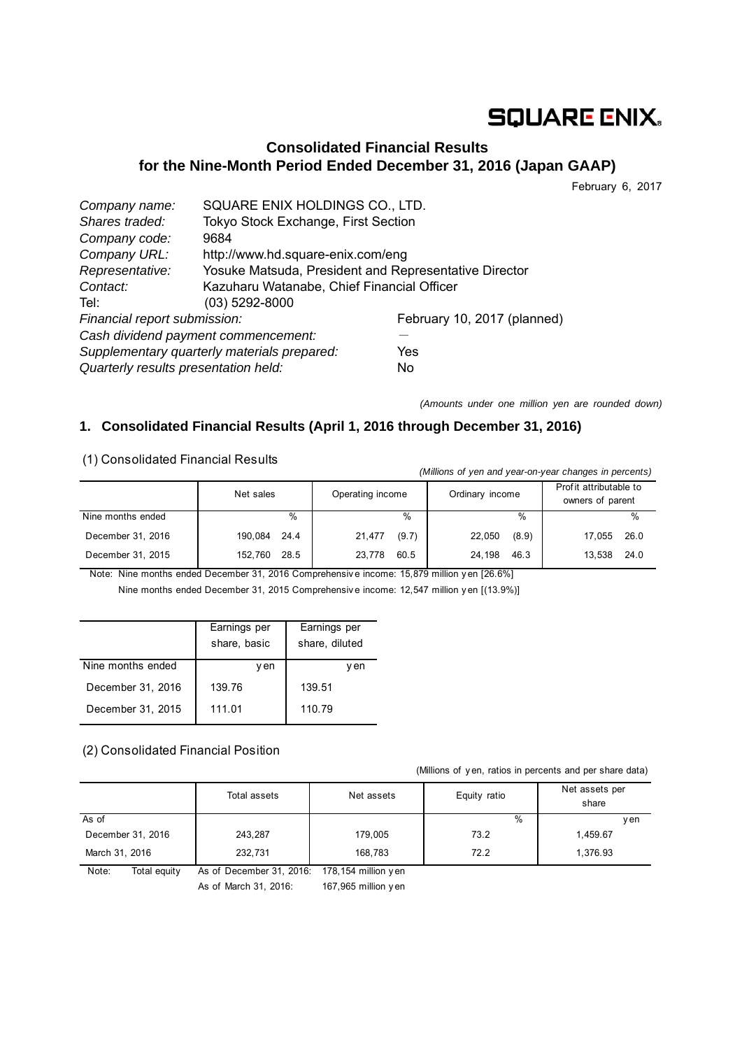# **SQUARE ENIX.**

## **Consolidated Financial Results for the Nine-Month Period Ended December 31, 2016 (Japan GAAP)**

February 6, 2017

| Company name:                        | SQUARE ENIX HOLDINGS CO., LTD.                        |                             |  |
|--------------------------------------|-------------------------------------------------------|-----------------------------|--|
| Shares traded:                       | Tokyo Stock Exchange, First Section                   |                             |  |
| Company code:                        | 9684                                                  |                             |  |
| Company URL:                         | http://www.hd.square-enix.com/eng                     |                             |  |
| Representative:                      | Yosuke Matsuda, President and Representative Director |                             |  |
| Contact:                             | Kazuharu Watanabe, Chief Financial Officer            |                             |  |
| Tel:                                 | $(03)$ 5292-8000                                      |                             |  |
| Financial report submission:         |                                                       | February 10, 2017 (planned) |  |
| Cash dividend payment commencement:  |                                                       |                             |  |
|                                      | Supplementary quarterly materials prepared:           | Yes                         |  |
| Quarterly results presentation held: |                                                       | No                          |  |

*(Amounts under one million yen are rounded down)* 

### **1. Consolidated Financial Results (April 1, 2016 through December 31, 2016)**

(1) Consolidated Financial Results

| (Millions of yen and year-on-year changes in percents) |                 |                  |                 |                                            |  |  |
|--------------------------------------------------------|-----------------|------------------|-----------------|--------------------------------------------|--|--|
|                                                        | Net sales       | Operating income | Ordinary income | Profit attributable to<br>owners of parent |  |  |
| Nine months ended                                      | %               | %                | $\%$            | %                                          |  |  |
| December 31, 2016                                      | 190,084<br>24.4 | (9.7)<br>21,477  | (8.9)<br>22,050 | 26.0<br>17,055                             |  |  |
| December 31, 2015                                      | 152.760<br>28.5 | 23.778<br>60.5   | 24.198<br>46.3  | 24.0<br>13,538                             |  |  |

Note: Nine months ended December 31, 2016 Comprehensiv e income: 15,879 million y en [26.6%] Nine months ended December 31, 2015 Comprehensiv e income: 12,547 million y en [(13.9%)]

|                   | Earnings per<br>share, basic | Earnings per<br>share, diluted |
|-------------------|------------------------------|--------------------------------|
| Nine months ended | v en                         | v en                           |
| December 31, 2016 | 139.76                       | 139.51                         |
| December 31, 2015 | 111.01                       | 110.79                         |

### (2) Consolidated Financial Position

(Millions of y en, ratios in percents and per share data)

|                       | Total assets             | Net assets           | Equity ratio | Net assets per<br>share |
|-----------------------|--------------------------|----------------------|--------------|-------------------------|
| As of                 |                          |                      | %            | y en                    |
| December 31, 2016     | 243,287                  | 179,005              | 73.2         | 1,459.67                |
| March 31, 2016        | 232,731                  | 168,783              | 72.2         | 1.376.93                |
| Note:<br>Total equity | As of December 31, 2016: | 178,154 million y en |              |                         |

As of March 31, 2016: 167,965 million y en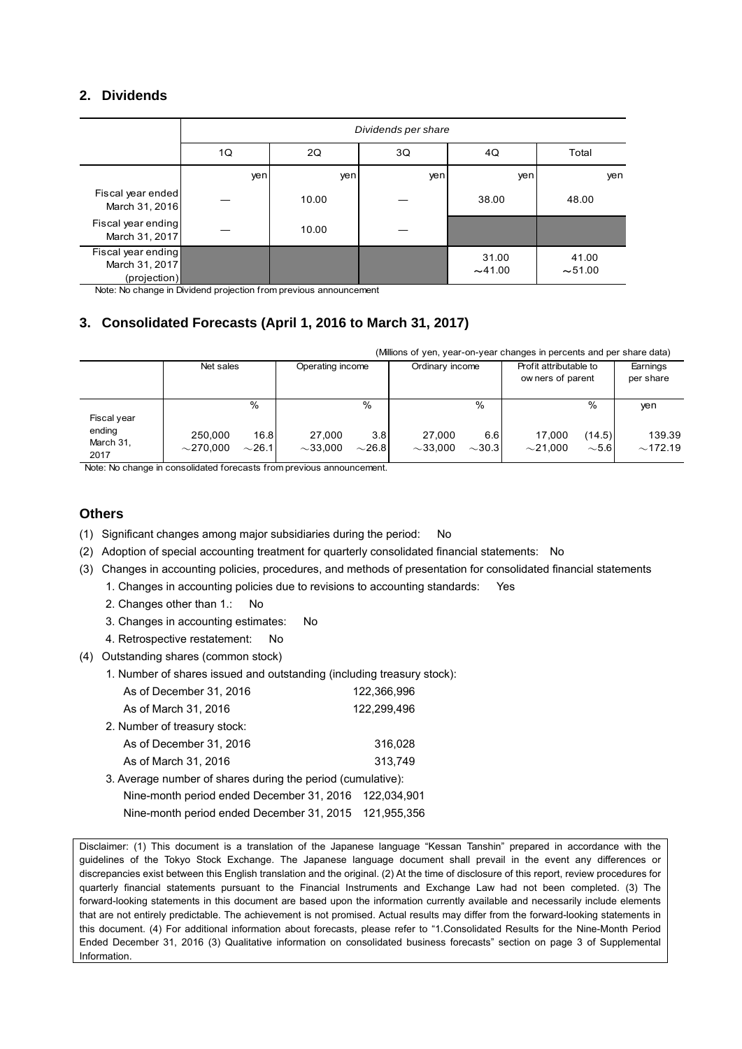### **2. Dividends**

|                                                      | Dividends per share |                         |     |                |                |  |  |  |
|------------------------------------------------------|---------------------|-------------------------|-----|----------------|----------------|--|--|--|
|                                                      | 1Q                  | 2Q<br>3Q<br>Total<br>4Q |     |                |                |  |  |  |
|                                                      | yen                 | yen                     | yen | yen            | yen            |  |  |  |
| Fiscal year ended<br>March 31, 2016                  |                     | 10.00                   |     | 38.00          | 48.00          |  |  |  |
| Fiscal year ending<br>March 31, 2017                 |                     | 10.00                   |     |                |                |  |  |  |
| Fiscal year ending<br>March 31, 2017<br>(projection) |                     |                         |     | 31.00<br>~1.00 | 41.00<br>~1.00 |  |  |  |

Note: No change in Dividend projection from previous announcement

### **3. Consolidated Forecasts (April 1, 2016 to March 31, 2017)**

|                                    | (Millions of yen, year-on-year changes in percents and per share data) |                       |                  |             |                 |                      |                                             |                         |                       |
|------------------------------------|------------------------------------------------------------------------|-----------------------|------------------|-------------|-----------------|----------------------|---------------------------------------------|-------------------------|-----------------------|
|                                    | Net sales                                                              |                       | Operating income |             | Ordinary income |                      | Profit attributable to<br>ow ners of parent |                         | Earnings<br>per share |
| Fiscal year<br>ending<br>March 31, | 250.000                                                                | $\frac{0}{0}$<br>16.8 | 27,000           | %<br>3.8    | 27.000          | $\frac{0}{0}$<br>6.6 | 17.000                                      | $\frac{0}{0}$<br>(14.5) | yen<br>139.39         |
| 2017                               | $\sim$ 270.000                                                         | $\sim$ 26.1           | $\sim$ 33.000    | $\sim$ 26.8 | $\sim$ 33.000   | $\sim$ 30.31         | ${\sim}21.000$                              | $\sim$ 5.61             | ~172.19               |

Note: No change in consolidated forecasts from previous announcement.

### **Others**

- (1) Significant changes among major subsidiaries during the period: No
- (2) Adoption of special accounting treatment for quarterly consolidated financial statements: No
- (3) Changes in accounting policies, procedures, and methods of presentation for consolidated financial statements 1. Changes in accounting policies due to revisions to accounting standards: Yes
	- 2. Changes other than 1.: No
	- 3. Changes in accounting estimates: No
	- 4. Retrospective restatement: No
- (4) Outstanding shares (common stock)
	- 1. Number of shares issued and outstanding (including treasury stock):

| As of December 31, 2016                                     | 122,366,996 |
|-------------------------------------------------------------|-------------|
| As of March 31, 2016                                        | 122.299.496 |
| 2. Number of treasury stock:                                |             |
| As of December 31, 2016                                     | 316,028     |
| As of March 31, 2016                                        | 313.749     |
| 3. Average number of shares during the period (cumulative): |             |
| Nine-month period ended December 31, 2016 122,034,901       |             |
| Nine-month period ended December 31, 2015 121,955,356       |             |

Disclaimer: (1) This document is a translation of the Japanese language "Kessan Tanshin" prepared in accordance with the guidelines of the Tokyo Stock Exchange. The Japanese language document shall prevail in the event any differences or discrepancies exist between this English translation and the original. (2) At the time of disclosure of this report, review procedures for quarterly financial statements pursuant to the Financial Instruments and Exchange Law had not been completed. (3) The forward-looking statements in this document are based upon the information currently available and necessarily include elements that are not entirely predictable. The achievement is not promised. Actual results may differ from the forward-looking statements in this document. (4) For additional information about forecasts, please refer to "1.Consolidated Results for the Nine-Month Period Ended December 31, 2016 (3) Qualitative information on consolidated business forecasts" section on page 3 of Supplemental Information.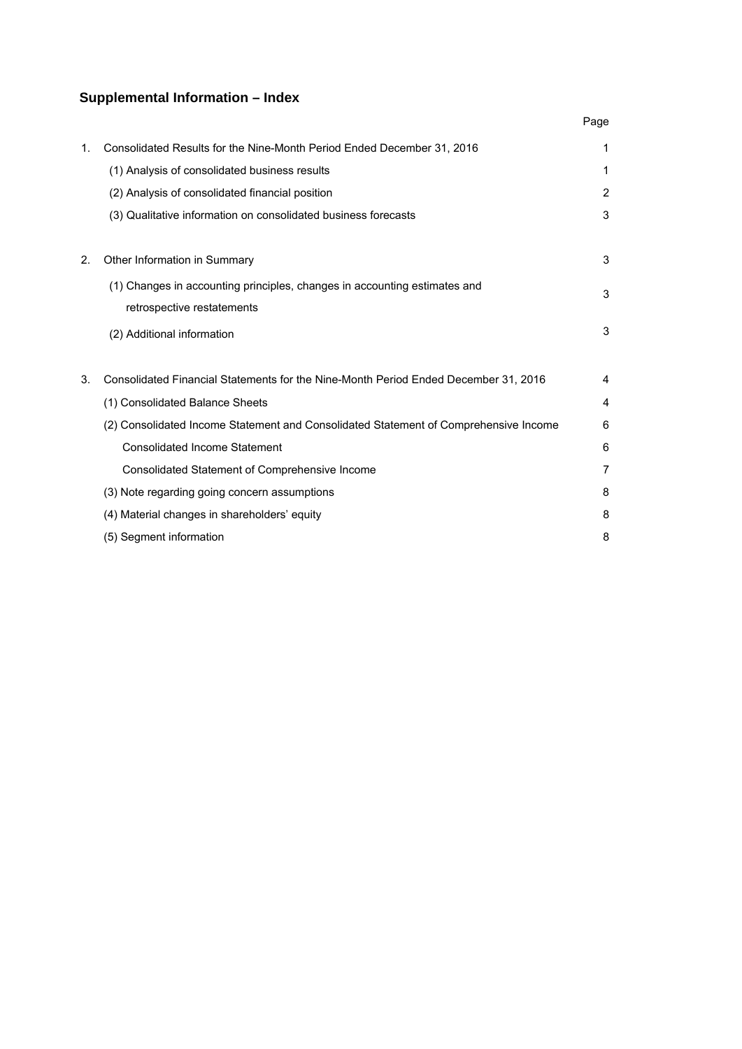## **Supplemental Information – Index**

|    |                                                                                      | Page |
|----|--------------------------------------------------------------------------------------|------|
| 1. | Consolidated Results for the Nine-Month Period Ended December 31, 2016               | 1    |
|    | (1) Analysis of consolidated business results                                        | 1    |
|    | (2) Analysis of consolidated financial position                                      | 2    |
|    | (3) Qualitative information on consolidated business forecasts                       | 3    |
|    |                                                                                      |      |
| 2. | Other Information in Summary                                                         | 3    |
|    | (1) Changes in accounting principles, changes in accounting estimates and            | 3    |
|    | retrospective restatements                                                           |      |
|    | (2) Additional information                                                           | 3    |
|    |                                                                                      |      |
| 3. | Consolidated Financial Statements for the Nine-Month Period Ended December 31, 2016  | 4    |
|    | (1) Consolidated Balance Sheets                                                      | 4    |
|    | (2) Consolidated Income Statement and Consolidated Statement of Comprehensive Income | 6    |
|    | <b>Consolidated Income Statement</b>                                                 | 6    |
|    | Consolidated Statement of Comprehensive Income                                       | 7    |
|    | (3) Note regarding going concern assumptions                                         | 8    |
|    | (4) Material changes in shareholders' equity                                         | 8    |
|    | (5) Segment information                                                              | 8    |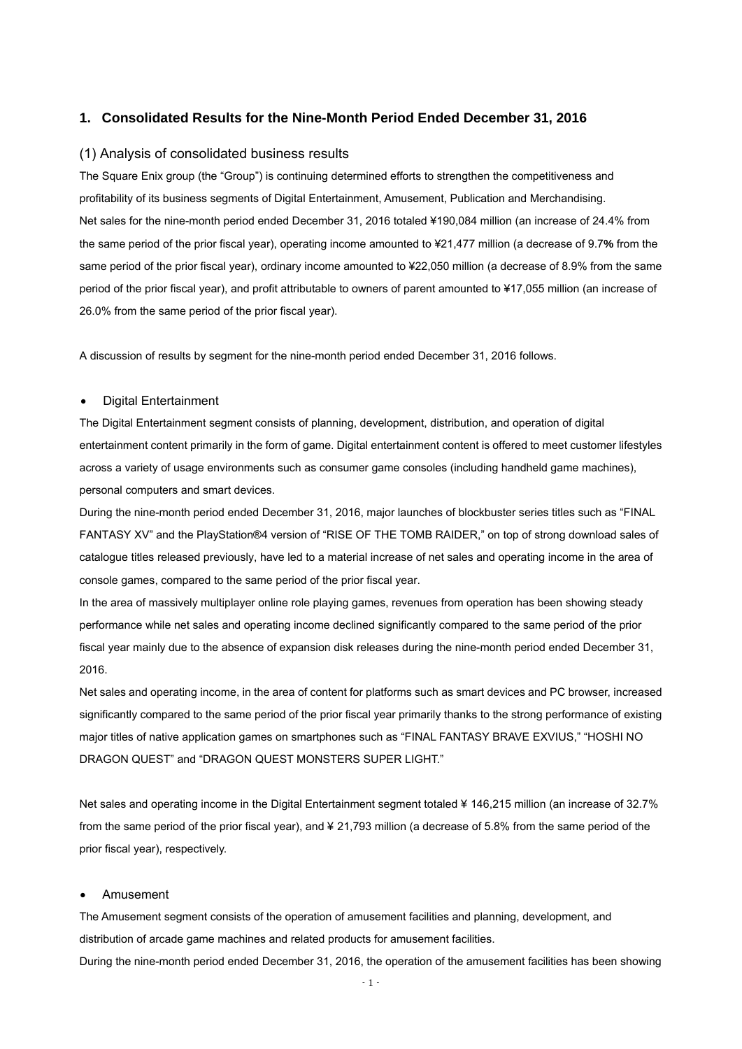#### **1. Consolidated Results for the Nine-Month Period Ended December 31, 2016**

#### (1) Analysis of consolidated business results

The Square Enix group (the "Group") is continuing determined efforts to strengthen the competitiveness and profitability of its business segments of Digital Entertainment, Amusement, Publication and Merchandising. Net sales for the nine-month period ended December 31, 2016 totaled ¥190,084 million (an increase of 24.4% from the same period of the prior fiscal year), operating income amounted to ¥21,477 million (a decrease of 9.7**%** from the same period of the prior fiscal year), ordinary income amounted to ¥22,050 million (a decrease of 8.9% from the same period of the prior fiscal year), and profit attributable to owners of parent amounted to ¥17,055 million (an increase of 26.0% from the same period of the prior fiscal year).

A discussion of results by segment for the nine-month period ended December 31, 2016 follows.

#### Digital Entertainment

The Digital Entertainment segment consists of planning, development, distribution, and operation of digital entertainment content primarily in the form of game. Digital entertainment content is offered to meet customer lifestyles across a variety of usage environments such as consumer game consoles (including handheld game machines), personal computers and smart devices.

During the nine-month period ended December 31, 2016, major launches of blockbuster series titles such as "FINAL FANTASY XV" and the PlayStation®4 version of "RISE OF THE TOMB RAIDER," on top of strong download sales of catalogue titles released previously, have led to a material increase of net sales and operating income in the area of console games, compared to the same period of the prior fiscal year.

In the area of massively multiplayer online role playing games, revenues from operation has been showing steady performance while net sales and operating income declined significantly compared to the same period of the prior fiscal year mainly due to the absence of expansion disk releases during the nine-month period ended December 31, 2016.

Net sales and operating income, in the area of content for platforms such as smart devices and PC browser, increased significantly compared to the same period of the prior fiscal year primarily thanks to the strong performance of existing major titles of native application games on smartphones such as "FINAL FANTASY BRAVE EXVIUS," "HOSHI NO DRAGON QUEST" and "DRAGON QUEST MONSTERS SUPER LIGHT."

Net sales and operating income in the Digital Entertainment segment totaled ¥ 146,215 million (an increase of 32.7% from the same period of the prior fiscal year), and ¥ 21,793 million (a decrease of 5.8% from the same period of the prior fiscal year), respectively.

#### Amusement

The Amusement segment consists of the operation of amusement facilities and planning, development, and distribution of arcade game machines and related products for amusement facilities. During the nine-month period ended December 31, 2016, the operation of the amusement facilities has been showing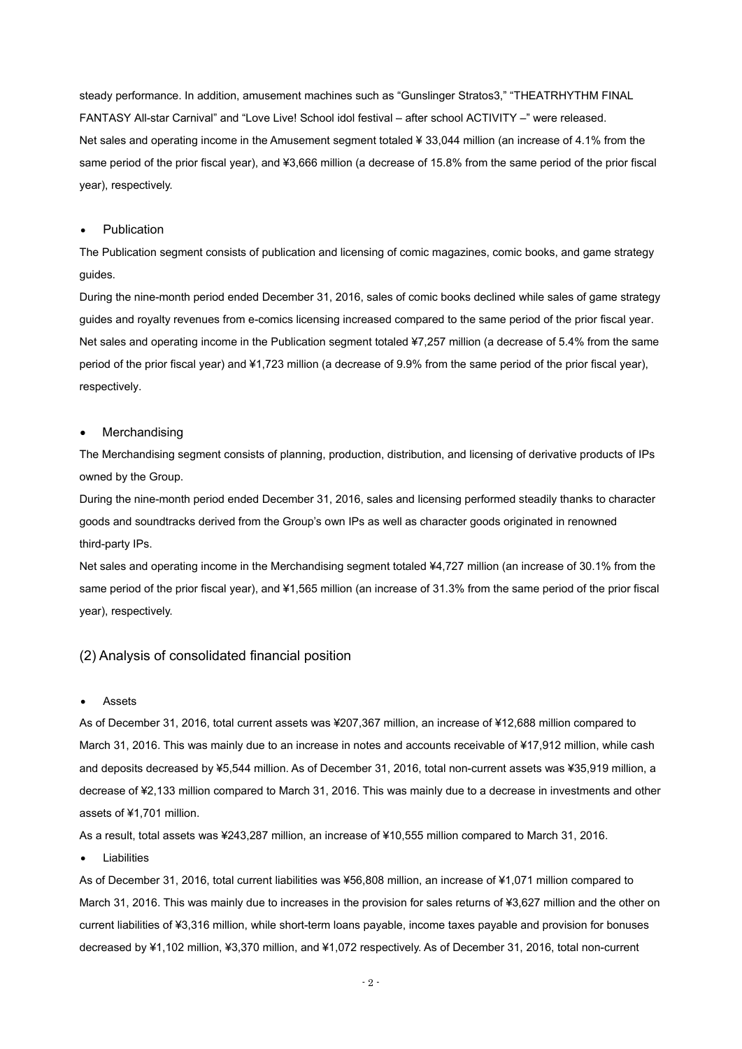steady performance. In addition, amusement machines such as "Gunslinger Stratos3," "THEATRHYTHM FINAL FANTASY All-star Carnival" and "Love Live! School idol festival – after school ACTIVITY –" were released. Net sales and operating income in the Amusement segment totaled ¥ 33,044 million (an increase of 4.1% from the same period of the prior fiscal year), and ¥3,666 million (a decrease of 15.8% from the same period of the prior fiscal year), respectively.

#### Publication

The Publication segment consists of publication and licensing of comic magazines, comic books, and game strategy guides.

During the nine-month period ended December 31, 2016, sales of comic books declined while sales of game strategy guides and royalty revenues from e-comics licensing increased compared to the same period of the prior fiscal year. Net sales and operating income in the Publication segment totaled ¥7,257 million (a decrease of 5.4% from the same period of the prior fiscal year) and ¥1,723 million (a decrease of 9.9% from the same period of the prior fiscal year), respectively.

#### Merchandising

The Merchandising segment consists of planning, production, distribution, and licensing of derivative products of IPs owned by the Group.

During the nine-month period ended December 31, 2016, sales and licensing performed steadily thanks to character goods and soundtracks derived from the Group's own IPs as well as character goods originated in renowned third-party IPs.

Net sales and operating income in the Merchandising segment totaled ¥4,727 million (an increase of 30.1% from the same period of the prior fiscal year), and ¥1,565 million (an increase of 31.3% from the same period of the prior fiscal year), respectively.

#### (2) Analysis of consolidated financial position

Assets

As of December 31, 2016, total current assets was ¥207,367 million, an increase of ¥12,688 million compared to March 31, 2016. This was mainly due to an increase in notes and accounts receivable of ¥17,912 million, while cash and deposits decreased by ¥5,544 million. As of December 31, 2016, total non-current assets was ¥35,919 million, a decrease of ¥2,133 million compared to March 31, 2016. This was mainly due to a decrease in investments and other assets of ¥1,701 million.

As a result, total assets was ¥243,287 million, an increase of ¥10,555 million compared to March 31, 2016.

Liabilities

As of December 31, 2016, total current liabilities was ¥56,808 million, an increase of ¥1,071 million compared to March 31, 2016. This was mainly due to increases in the provision for sales returns of ¥3,627 million and the other on current liabilities of ¥3,316 million, while short-term loans payable, income taxes payable and provision for bonuses decreased by ¥1,102 million, ¥3,370 million, and ¥1,072 respectively. As of December 31, 2016, total non-current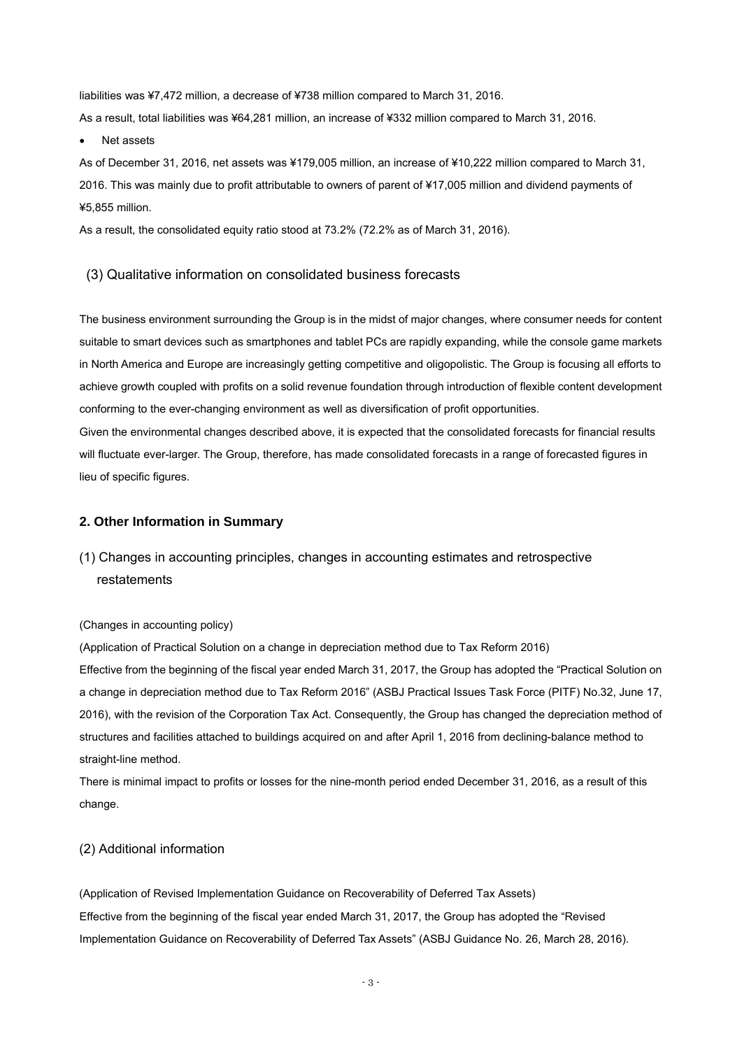liabilities was ¥7,472 million, a decrease of ¥738 million compared to March 31, 2016.

As a result, total liabilities was ¥64,281 million, an increase of ¥332 million compared to March 31, 2016.

#### Net assets

As of December 31, 2016, net assets was ¥179,005 million, an increase of ¥10,222 million compared to March 31, 2016. This was mainly due to profit attributable to owners of parent of ¥17,005 million and dividend payments of ¥5,855 million.

As a result, the consolidated equity ratio stood at 73.2% (72.2% as of March 31, 2016).

#### (3) Qualitative information on consolidated business forecasts

The business environment surrounding the Group is in the midst of major changes, where consumer needs for content suitable to smart devices such as smartphones and tablet PCs are rapidly expanding, while the console game markets in North America and Europe are increasingly getting competitive and oligopolistic. The Group is focusing all efforts to achieve growth coupled with profits on a solid revenue foundation through introduction of flexible content development conforming to the ever-changing environment as well as diversification of profit opportunities.

Given the environmental changes described above, it is expected that the consolidated forecasts for financial results will fluctuate ever-larger. The Group, therefore, has made consolidated forecasts in a range of forecasted figures in lieu of specific figures.

#### **2. Other Information in Summary**

## (1) Changes in accounting principles, changes in accounting estimates and retrospective restatements

#### (Changes in accounting policy)

(Application of Practical Solution on a change in depreciation method due to Tax Reform 2016) Effective from the beginning of the fiscal year ended March 31, 2017, the Group has adopted the "Practical Solution on a change in depreciation method due to Tax Reform 2016" (ASBJ Practical Issues Task Force (PITF) No.32, June 17, 2016), with the revision of the Corporation Tax Act. Consequently, the Group has changed the depreciation method of structures and facilities attached to buildings acquired on and after April 1, 2016 from declining-balance method to straight-line method.

There is minimal impact to profits or losses for the nine-month period ended December 31, 2016, as a result of this change.

#### (2) Additional information

(Application of Revised Implementation Guidance on Recoverability of Deferred Tax Assets) Effective from the beginning of the fiscal year ended March 31, 2017, the Group has adopted the "Revised Implementation Guidance on Recoverability of Deferred Tax Assets" (ASBJ Guidance No. 26, March 28, 2016).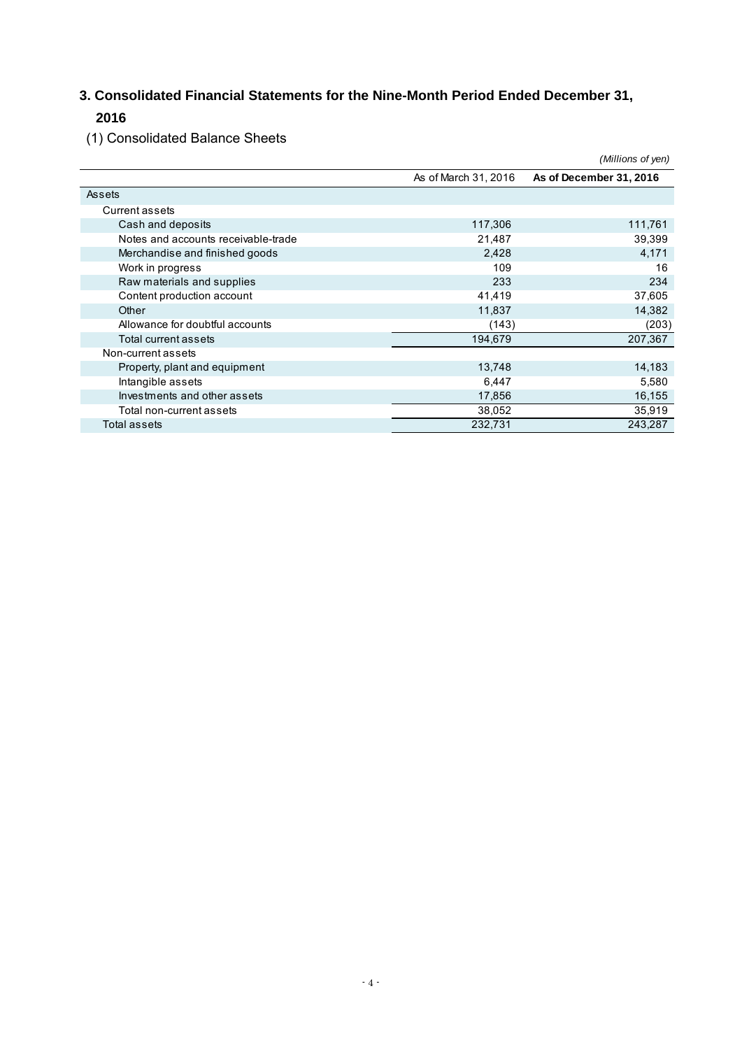## **3. Consolidated Financial Statements for the Nine-Month Period Ended December 31, 2016**

(1) Consolidated Balance Sheets

|                                     |                      | (Millions of yen)       |
|-------------------------------------|----------------------|-------------------------|
|                                     | As of March 31, 2016 | As of December 31, 2016 |
| Assets                              |                      |                         |
| Current assets                      |                      |                         |
| Cash and deposits                   | 117,306              | 111,761                 |
| Notes and accounts receivable-trade | 21,487               | 39,399                  |
| Merchandise and finished goods      | 2,428                | 4,171                   |
| Work in progress                    | 109                  | 16                      |
| Raw materials and supplies          | 233                  | 234                     |
| Content production account          | 41,419               | 37,605                  |
| Other                               | 11,837               | 14,382                  |
| Allowance for doubtful accounts     | (143)                | (203)                   |
| Total current assets                | 194,679              | 207,367                 |
| Non-current assets                  |                      |                         |
| Property, plant and equipment       | 13,748               | 14,183                  |
| Intangible assets                   | 6,447                | 5,580                   |
| Investments and other assets        | 17,856               | 16,155                  |
| Total non-current assets            | 38,052               | 35,919                  |
| Total assets                        | 232,731              | 243,287                 |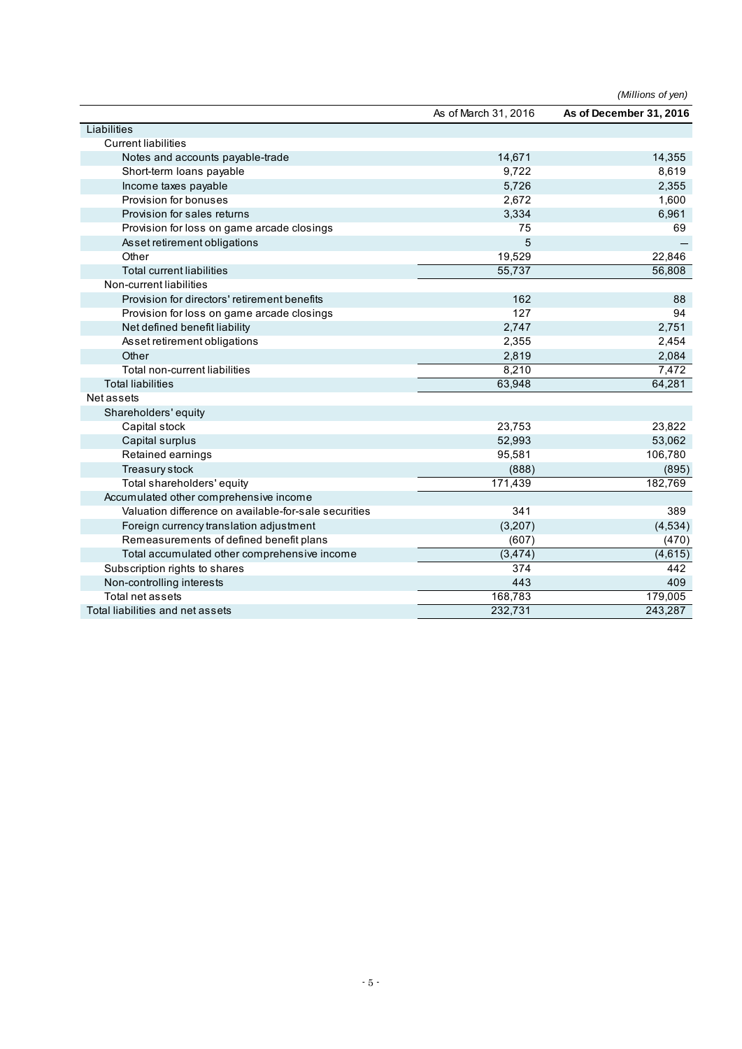|                                                       |                      | (Millions of yen)       |
|-------------------------------------------------------|----------------------|-------------------------|
|                                                       | As of March 31, 2016 | As of December 31, 2016 |
| Liabilities                                           |                      |                         |
| <b>Current liabilities</b>                            |                      |                         |
| Notes and accounts payable-trade                      | 14,671               | 14,355                  |
| Short-term loans payable                              | 9.722                | 8,619                   |
| Income taxes payable                                  | 5,726                | 2,355                   |
| Provision for bonuses                                 | 2,672                | 1,600                   |
| Provision for sales returns                           | 3,334                | 6,961                   |
| Provision for loss on game arcade closings            | 75                   | 69                      |
| Asset retirement obligations                          | 5                    |                         |
| Other                                                 | 19,529               | 22,846                  |
| <b>Total current liabilities</b>                      | 55,737               | 56,808                  |
| Non-current liabilities                               |                      |                         |
| Provision for directors' retirement benefits          | 162                  | 88                      |
| Provision for loss on game arcade closings            | 127                  | 94                      |
| Net defined benefit liability                         | 2,747                | 2,751                   |
| Asset retirement obligations                          | 2,355                | 2,454                   |
| Other                                                 | 2,819                | 2,084                   |
| Total non-current liabilities                         | 8,210                | 7,472                   |
| <b>Total liabilities</b>                              | 63,948               | 64,281                  |
| Net assets                                            |                      |                         |
| Shareholders' equity                                  |                      |                         |
| Capital stock                                         | 23,753               | 23,822                  |
| Capital surplus                                       | 52,993               | 53,062                  |
| Retained earnings                                     | 95,581               | 106,780                 |
| Treasury stock                                        | (888)                | (895)                   |
| Total shareholders' equity                            | 171,439              | 182,769                 |
| Accumulated other comprehensive income                |                      |                         |
| Valuation difference on available-for-sale securities | 341                  | 389                     |
| Foreign currency translation adjustment               | (3,207)              | (4, 534)                |
| Remeasurements of defined benefit plans               | (607)                | (470)                   |
| Total accumulated other comprehensive income          | (3, 474)             | (4,615)                 |
| Subscription rights to shares                         | 374                  | 442                     |
| Non-controlling interests                             | 443                  | 409                     |
| Total net assets                                      | 168,783              | 179,005                 |
| Total liabilities and net assets                      | 232,731              | 243,287                 |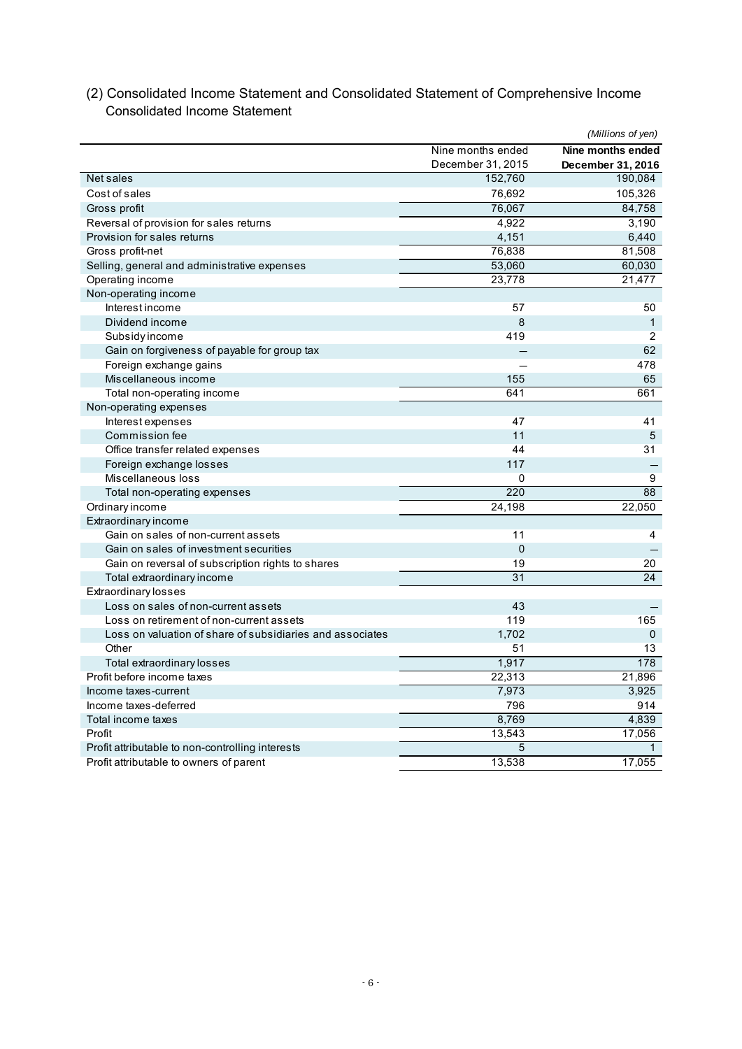|                                                           |                   | (Millions of yen) |
|-----------------------------------------------------------|-------------------|-------------------|
|                                                           | Nine months ended | Nine months ended |
|                                                           | December 31, 2015 | December 31, 2016 |
| Net sales                                                 | 152,760           | 190,084           |
| Cost of sales                                             | 76,692            | 105,326           |
| Gross profit                                              | 76,067            | 84,758            |
| Reversal of provision for sales returns                   | 4,922             | 3,190             |
| Provision for sales returns                               | 4,151             | 6,440             |
| Gross profit-net                                          | 76,838            | 81,508            |
| Selling, general and administrative expenses              | 53,060            | 60,030            |
| Operating income                                          | 23,778            | 21,477            |
| Non-operating income                                      |                   |                   |
| Interest income                                           | 57                | 50                |
| Dividend income                                           | 8                 | $\mathbf{1}$      |
| Subsidy income                                            | 419               | 2                 |
| Gain on forgiveness of payable for group tax              |                   | 62                |
| Foreign exchange gains                                    |                   | 478               |
| Miscellaneous income                                      | 155               | 65                |
| Total non-operating income                                | 641               | 661               |
| Non-operating expenses                                    |                   |                   |
| Interest expenses                                         | 47                | 41                |
| Commission fee                                            | 11                | 5                 |
| Office transfer related expenses                          | 44                | 31                |
| Foreign exchange losses                                   | 117               |                   |
| Miscellaneous loss                                        | 0                 | 9                 |
| Total non-operating expenses                              | 220               | 88                |
| Ordinary income                                           | 24,198            | 22,050            |
| Extraordinary income                                      |                   |                   |
| Gain on sales of non-current assets                       | 11                | 4                 |
| Gain on sales of investment securities                    | $\mathbf 0$       |                   |
| Gain on reversal of subscription rights to shares         | 19                | 20                |
| Total extraordinary income                                | $\overline{31}$   | 24                |
| Extraordinary losses                                      |                   |                   |
| Loss on sales of non-current assets                       | 43                |                   |
| Loss on retirement of non-current assets                  | 119               | 165               |
| Loss on valuation of share of subsidiaries and associates | 1,702             | $\mathbf 0$       |
| Other                                                     | 51                | 13                |
| Total extraordinary losses                                | 1,917             | 178               |
| Profit before income taxes                                | 22,313            | 21,896            |
| Income taxes-current                                      | 7,973             | 3,925             |
| Income taxes-deferred                                     | 796               | 914               |
| Total income taxes                                        | 8,769             | 4,839             |
| Profit                                                    | 13,543            | 17,056            |
| Profit attributable to non-controlling interests          | 5                 | 1                 |
| Profit attributable to owners of parent                   | 13,538            | 17,055            |

## (2) Consolidated Income Statement and Consolidated Statement of Comprehensive Income Consolidated Income Statement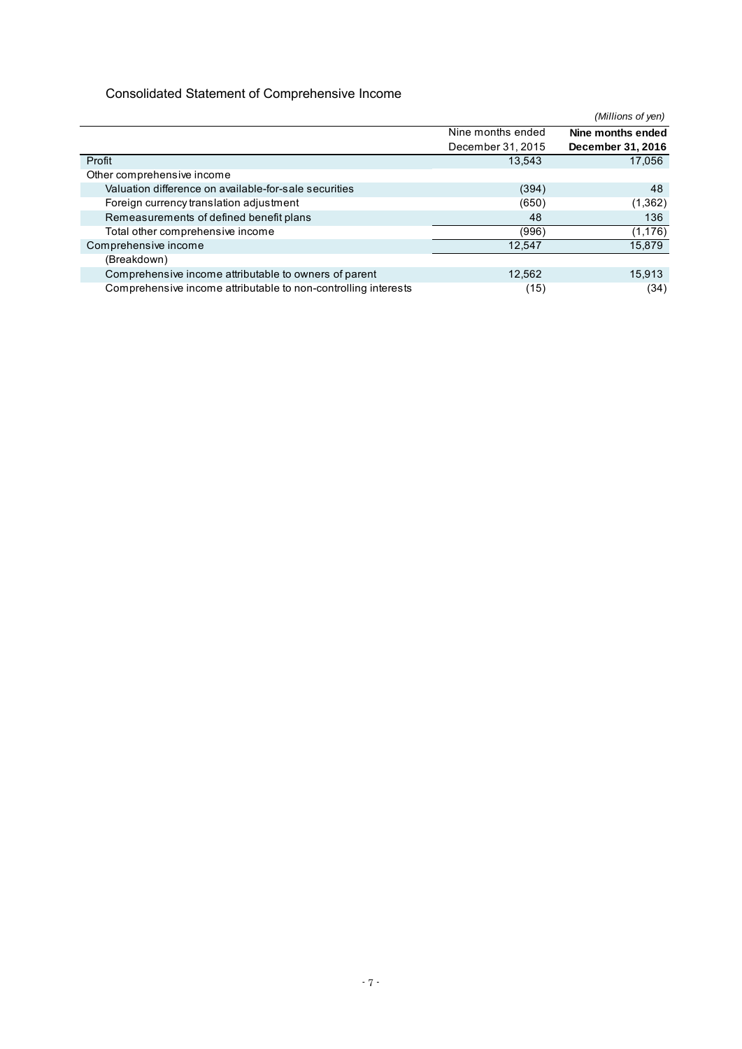## Consolidated Statement of Comprehensive Income

|                                                                |                   | (Millions of yen) |
|----------------------------------------------------------------|-------------------|-------------------|
|                                                                | Nine months ended | Nine months ended |
|                                                                | December 31, 2015 | December 31, 2016 |
| Profit                                                         | 13,543            | 17,056            |
| Other comprehensive income                                     |                   |                   |
| Valuation difference on available-for-sale securities          | (394)             | 48                |
| Foreign currency translation adjustment                        | (650)             | (1,362)           |
| Remeasurements of defined benefit plans                        | 48                | 136               |
| Total other comprehensive income                               | (996)             | (1, 176)          |
| Comprehensive income                                           | 12,547            | 15,879            |
| (Breakdown)                                                    |                   |                   |
| Comprehensive income attributable to owners of parent          | 12,562            | 15,913            |
| Comprehensive income attributable to non-controlling interests | (15)              | (34)              |